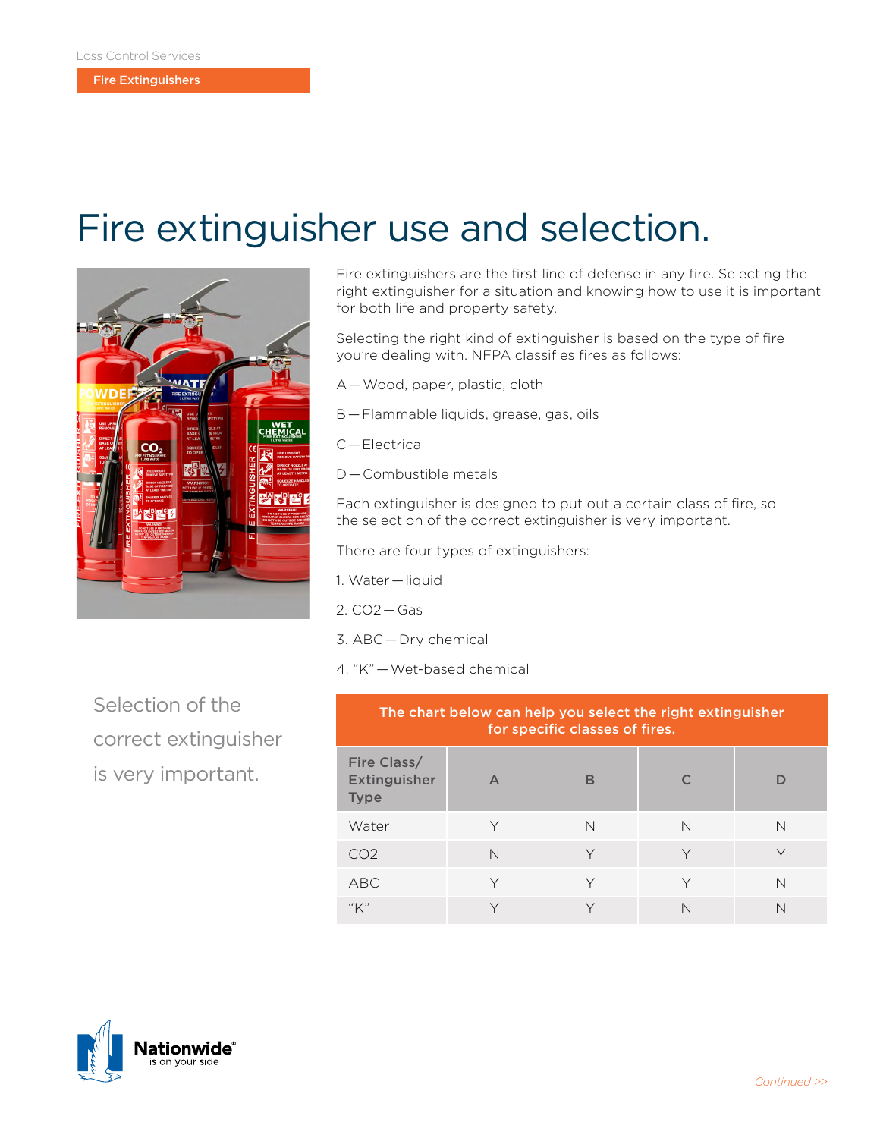## Fire extinguisher use and selection.



Fire extinguishers are the first line of defense in any fire. Selecting the right extinguisher for a situation and knowing how to use it is important for both life and property safety.

Selecting the right kind of extinguisher is based on the type of fire you're dealing with. NFPA classifies fires as follows:

- A — Wood, paper, plastic, cloth
- B — Flammable liquids, grease, gas, oils
- C — Electrical
- D — Combustible metals

Each extinguisher is designed to put out a certain class of fire, so the selection of the correct extinguisher is very important.

There are four types of extinguishers:

- 1. Water — liquid
- 2. CO2 — Gas
- 3. ABC — Dry chemical
- 4. "K" — Wet-based chemical

Selection of the correct extinguisher is very important.

| The chart below can help you select the right extinguisher<br>for specific classes of fires. |                  |              |   |   |
|----------------------------------------------------------------------------------------------|------------------|--------------|---|---|
| Fire Class/<br><b>Extinguisher</b><br><b>Type</b>                                            | $\triangleright$ | в            |   |   |
| Water                                                                                        | ٧                | N            | N | N |
| CO <sub>2</sub>                                                                              | $\mathsf{N}$     |              |   |   |
| ABC                                                                                          | $\vee$           | $\vee$       |   | N |
| "K"                                                                                          | $\checkmark$     | $\checkmark$ | N | N |